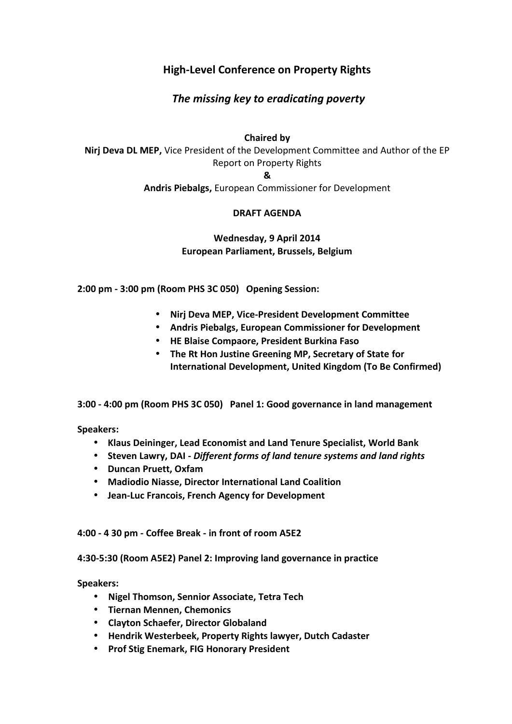## **High-Level Conference on Property Rights**

# *The missing key to eradicating poverty*

### **Chaired by**

**Nirj Deva DL MEP,** Vice President of the Development Committee and Author of the EP Report on Property Rights **&**

**Andris Piebalgs,** European Commissioner for Development

### **DRAFT AGENDA**

### **Wednesday, 9 April 2014 European Parliament, Brussels, Belgium**

**2:00 pm - 3:00 pm (Room PHS 3C 050) Opening Session:**

- **Nirj Deva MEP, Vice-President Development Committee**
- **Andris Piebalgs, European Commissioner for Development**
- **HE Blaise Compaore, President Burkina Faso**
- **The Rt Hon Justine Greening MP, Secretary of State for International Development, United Kingdom (To Be Confirmed)**

**3:00 - 4:00 pm (Room PHS 3C 050) Panel 1: Good governance in land management**

**Speakers:**

- **Klaus Deininger, Lead Economist and Land Tenure Specialist, World Bank**
- **Steven Lawry, DAI -** *Different forms of land tenure systems and land rights*
- **Duncan Pruett, Oxfam**
- **Madiodio Niasse, Director International Land Coalition**
- **Jean-Luc Francois, French Agency for Development**

**4:00 - 4 30 pm - Coffee Break - in front of room A5E2**

**4:30-5:30 (Room A5E2) Panel 2: Improving land governance in practice**

**Speakers:**

- **Nigel Thomson, Sennior Associate, Tetra Tech**
- **Tiernan Mennen, Chemonics**
- **Clayton Schaefer, Director Globaland**
- **Hendrik Westerbeek, Property Rights lawyer, Dutch Cadaster**
- **Prof Stig Enemark, FIG Honorary President**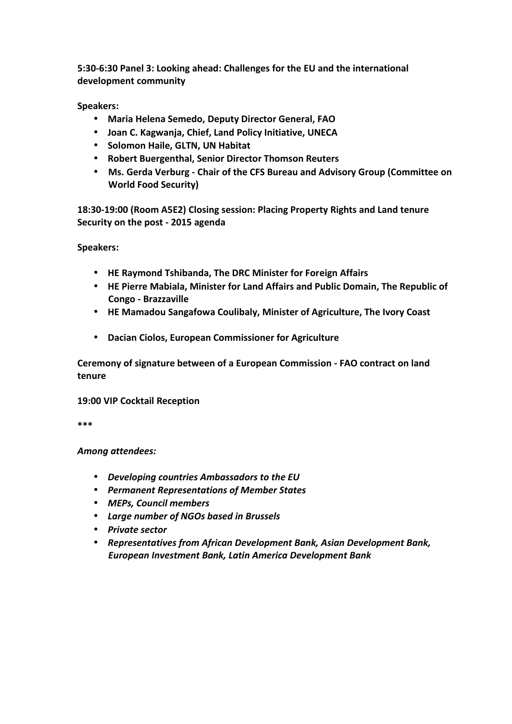**5:30-6:30 Panel 3: Looking ahead: Challenges for the EU and the international development community**

**Speakers:**

- **Maria Helena Semedo, Deputy Director General, FAO**
- **Joan C. Kagwanja, Chief, Land Policy Initiative, UNECA**
- **•** Solomon Haile, GLTN, UN Habitat
- **Robert Buergenthal, Senior Director Thomson Reuters**
- **Ms. Gerda Verburg - Chair of the CFS Bureau and Advisory Group (Committee on World Food Security)**

**18:30-19:00 (Room A5E2) Closing session: Placing Property Rights and Land tenure Security on the post - 2015 agenda**

**Speakers:**

- **HE Raymond Tshibanda, The DRC Minister for Foreign Affairs**
- **HE Pierre Mabiala, Minister for Land Affairs and Public Domain, The Republic of Congo - Brazzaville**
- **HE Mamadou Sangafowa Coulibaly, Minister of Agriculture, The Ivory Coast**
- **Dacian Ciolos, European Commissioner for Agriculture**

**Ceremony of signature between of a European Commission - FAO contract on land tenure**

**19:00 VIP Cocktail Reception**

**\*\*\***

*Among attendees:*

- *Developing countries Ambassadors to the EU*
- *Permanent Representations of Member States*
- *MEPs, Council members*
- *Large number of NGOs based in Brussels*
- *Private sector*
- *Representatives from African Development Bank, Asian Development Bank, European Investment Bank, Latin America Development Bank*